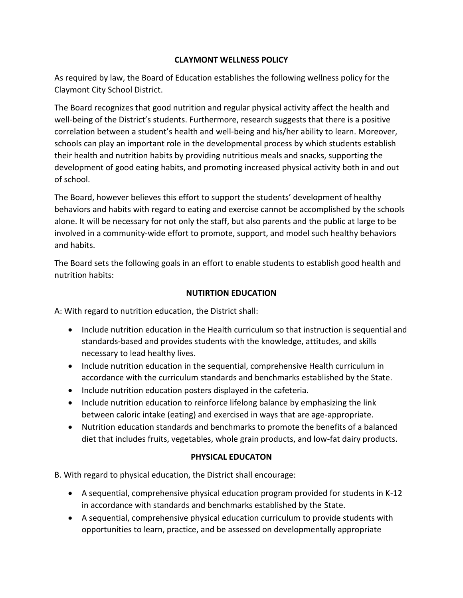#### **CLAYMONT WELLNESS POLICY**

As required by law, the Board of Education establishes the following wellness policy for the Claymont City School District.

The Board recognizes that good nutrition and regular physical activity affect the health and well-being of the District's students. Furthermore, research suggests that there is a positive correlation between a student's health and well-being and his/her ability to learn. Moreover, schools can play an important role in the developmental process by which students establish their health and nutrition habits by providing nutritious meals and snacks, supporting the development of good eating habits, and promoting increased physical activity both in and out of school.

The Board, however believes this effort to support the students' development of healthy behaviors and habits with regard to eating and exercise cannot be accomplished by the schools alone. It will be necessary for not only the staff, but also parents and the public at large to be involved in a community-wide effort to promote, support, and model such healthy behaviors and habits.

The Board sets the following goals in an effort to enable students to establish good health and nutrition habits:

#### **NUTIRTION EDUCATION**

A: With regard to nutrition education, the District shall:

- Include nutrition education in the Health curriculum so that instruction is sequential and standards-based and provides students with the knowledge, attitudes, and skills necessary to lead healthy lives.
- Include nutrition education in the sequential, comprehensive Health curriculum in accordance with the curriculum standards and benchmarks established by the State.
- Include nutrition education posters displayed in the cafeteria.
- Include nutrition education to reinforce lifelong balance by emphasizing the link between caloric intake (eating) and exercised in ways that are age-appropriate.
- Nutrition education standards and benchmarks to promote the benefits of a balanced diet that includes fruits, vegetables, whole grain products, and low-fat dairy products.

#### **PHYSICAL EDUCATON**

B. With regard to physical education, the District shall encourage:

- A sequential, comprehensive physical education program provided for students in K-12 in accordance with standards and benchmarks established by the State.
- A sequential, comprehensive physical education curriculum to provide students with opportunities to learn, practice, and be assessed on developmentally appropriate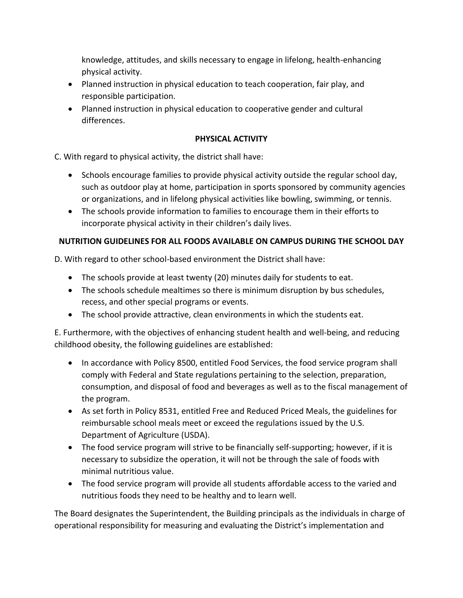knowledge, attitudes, and skills necessary to engage in lifelong, health-enhancing physical activity.

- Planned instruction in physical education to teach cooperation, fair play, and responsible participation.
- Planned instruction in physical education to cooperative gender and cultural differences.

# **PHYSICAL ACTIVITY**

C. With regard to physical activity, the district shall have:

- Schools encourage families to provide physical activity outside the regular school day, such as outdoor play at home, participation in sports sponsored by community agencies or organizations, and in lifelong physical activities like bowling, swimming, or tennis.
- The schools provide information to families to encourage them in their efforts to incorporate physical activity in their children's daily lives.

# **NUTRITION GUIDELINES FOR ALL FOODS AVAILABLE ON CAMPUS DURING THE SCHOOL DAY**

D. With regard to other school-based environment the District shall have:

- The schools provide at least twenty (20) minutes daily for students to eat.
- The schools schedule mealtimes so there is minimum disruption by bus schedules, recess, and other special programs or events.
- The school provide attractive, clean environments in which the students eat.

E. Furthermore, with the objectives of enhancing student health and well-being, and reducing childhood obesity, the following guidelines are established:

- In accordance with Policy 8500, entitled Food Services, the food service program shall comply with Federal and State regulations pertaining to the selection, preparation, consumption, and disposal of food and beverages as well as to the fiscal management of the program.
- As set forth in Policy 8531, entitled Free and Reduced Priced Meals, the guidelines for reimbursable school meals meet or exceed the regulations issued by the U.S. Department of Agriculture (USDA).
- The food service program will strive to be financially self-supporting; however, if it is necessary to subsidize the operation, it will not be through the sale of foods with minimal nutritious value.
- The food service program will provide all students affordable access to the varied and nutritious foods they need to be healthy and to learn well.

The Board designates the Superintendent, the Building principals as the individuals in charge of operational responsibility for measuring and evaluating the District's implementation and